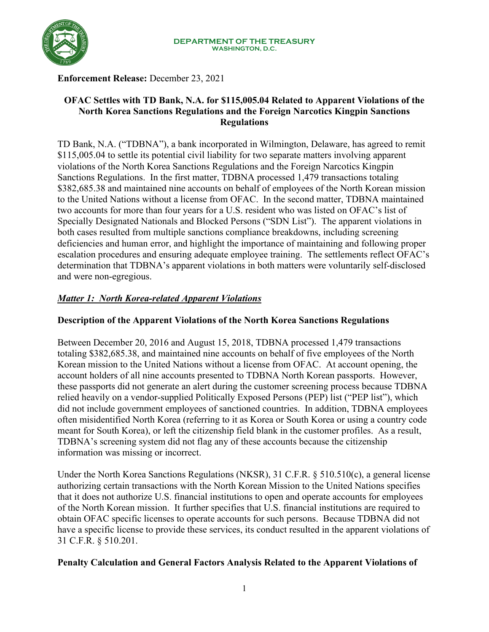

### **Enforcement Release:** December 23, 2021

## **OFAC Settles with TD Bank, N.A. for \$115,005.04 Related to Apparent Violations of the North Korea Sanctions Regulations and the Foreign Narcotics Kingpin Sanctions Regulations**

TD Bank, N.A. ("TDBNA"), a bank incorporated in Wilmington, Delaware, has agreed to remit \$115,005.04 to settle its potential civil liability for two separate matters involving apparent violations of the North Korea Sanctions Regulations and the Foreign Narcotics Kingpin Sanctions Regulations. In the first matter, TDBNA processed 1,479 transactions totaling \$382,685.38 and maintained nine accounts on behalf of employees of the North Korean mission to the United Nations without a license from OFAC. In the second matter, TDBNA maintained two accounts for more than four years for a U.S. resident who was listed on OFAC's list of Specially Designated Nationals and Blocked Persons ("SDN List"). The apparent violations in both cases resulted from multiple sanctions compliance breakdowns, including screening deficiencies and human error, and highlight the importance of maintaining and following proper escalation procedures and ensuring adequate employee training. The settlements reflect OFAC's determination that TDBNA's apparent violations in both matters were voluntarily self-disclosed and were non-egregious.

# *Matter 1: North Korea-related Apparent Violations*

## **Description of the Apparent Violations of the North Korea Sanctions Regulations**

Between December 20, 2016 and August 15, 2018, TDBNA processed 1,479 transactions totaling \$382,685.38, and maintained nine accounts on behalf of five employees of the North Korean mission to the United Nations without a license from OFAC. At account opening, the account holders of all nine accounts presented to TDBNA North Korean passports. However, these passports did not generate an alert during the customer screening process because TDBNA relied heavily on a vendor-supplied Politically Exposed Persons (PEP) list ("PEP list"), which did not include government employees of sanctioned countries. In addition, TDBNA employees often misidentified North Korea (referring to it as Korea or South Korea or using a country code meant for South Korea), or left the citizenship field blank in the customer profiles. As a result, TDBNA's screening system did not flag any of these accounts because the citizenship information was missing or incorrect.

Under the North Korea Sanctions Regulations (NKSR), 31 C.F.R. § 510.510(c), a general license authorizing certain transactions with the North Korean Mission to the United Nations specifies that it does not authorize U.S. financial institutions to open and operate accounts for employees of the North Korean mission. It further specifies that U.S. financial institutions are required to obtain OFAC specific licenses to operate accounts for such persons. Because TDBNA did not have a specific license to provide these services, its conduct resulted in the apparent violations of 31 C.F.R. § 510.201.

## **Penalty Calculation and General Factors Analysis Related to the Apparent Violations of**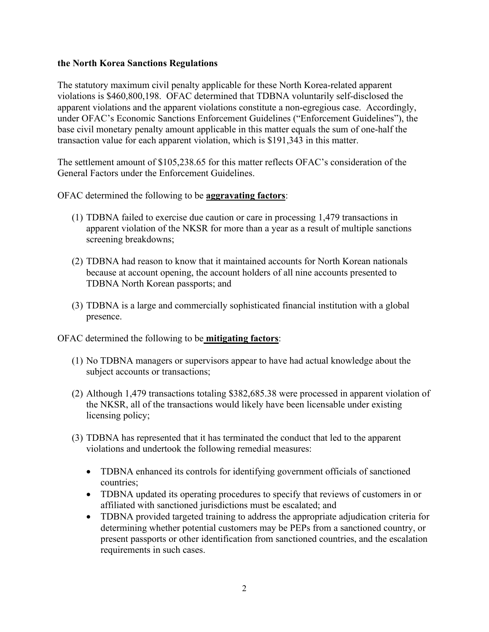#### **the North Korea Sanctions Regulations**

The statutory maximum civil penalty applicable for these North Korea-related apparent violations is \$460,800,198. OFAC determined that TDBNA voluntarily self-disclosed the apparent violations and the apparent violations constitute a non-egregious case. Accordingly, under OFAC's Economic Sanctions Enforcement Guidelines ("Enforcement Guidelines"), the base civil monetary penalty amount applicable in this matter equals the sum of one-half the transaction value for each apparent violation, which is \$191,343 in this matter.

The settlement amount of \$105,238.65 for this matter reflects OFAC's consideration of the General Factors under the Enforcement Guidelines.

OFAC determined the following to be **aggravating factors**:

- (1) TDBNA failed to exercise due caution or care in processing 1,479 transactions in apparent violation of the NKSR for more than a year as a result of multiple sanctions screening breakdowns;
- (2) TDBNA had reason to know that it maintained accounts for North Korean nationals because at account opening, the account holders of all nine accounts presented to TDBNA North Korean passports; and
- (3) TDBNA is a large and commercially sophisticated financial institution with a global presence.

OFAC determined the following to be **mitigating factors**:

- (1) No TDBNA managers or supervisors appear to have had actual knowledge about the subject accounts or transactions;
- (2) Although 1,479 transactions totaling \$382,685.38 were processed in apparent violation of the NKSR, all of the transactions would likely have been licensable under existing licensing policy;
- (3) TDBNA has represented that it has terminated the conduct that led to the apparent violations and undertook the following remedial measures:
	- TDBNA enhanced its controls for identifying government officials of sanctioned countries;
	- TDBNA updated its operating procedures to specify that reviews of customers in or affiliated with sanctioned jurisdictions must be escalated; and
	- TDBNA provided targeted training to address the appropriate adjudication criteria for determining whether potential customers may be PEPs from a sanctioned country, or present passports or other identification from sanctioned countries, and the escalation requirements in such cases.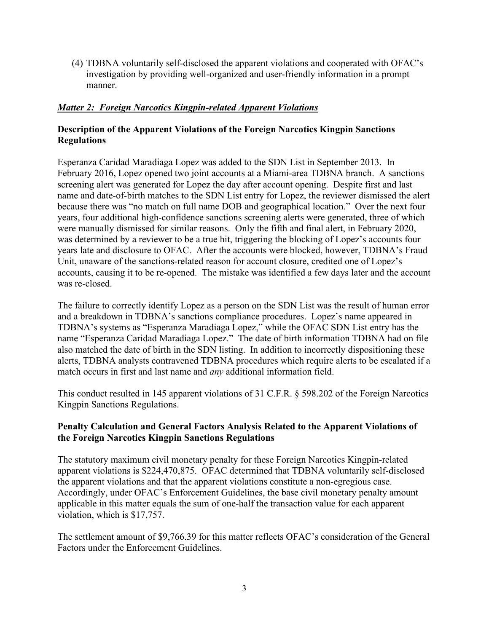(4) TDBNA voluntarily self-disclosed the apparent violations and cooperated with OFAC's investigation by providing well-organized and user-friendly information in a prompt manner.

## *Matter 2: Foreign Narcotics Kingpin-related Apparent Violations*

## **Description of the Apparent Violations of the Foreign Narcotics Kingpin Sanctions Regulations**

Esperanza Caridad Maradiaga Lopez was added to the SDN List in September 2013. In February 2016, Lopez opened two joint accounts at a Miami-area TDBNA branch. A sanctions screening alert was generated for Lopez the day after account opening. Despite first and last name and date-of-birth matches to the SDN List entry for Lopez, the reviewer dismissed the alert because there was "no match on full name DOB and geographical location." Over the next four years, four additional high-confidence sanctions screening alerts were generated, three of which were manually dismissed for similar reasons. Only the fifth and final alert, in February 2020, was determined by a reviewer to be a true hit, triggering the blocking of Lopez's accounts four years late and disclosure to OFAC. After the accounts were blocked, however, TDBNA's Fraud Unit, unaware of the sanctions-related reason for account closure, credited one of Lopez's accounts, causing it to be re-opened. The mistake was identified a few days later and the account was re-closed.

The failure to correctly identify Lopez as a person on the SDN List was the result of human error and a breakdown in TDBNA's sanctions compliance procedures. Lopez's name appeared in TDBNA's systems as "Esperanza Maradiaga Lopez," while the OFAC SDN List entry has the name "Esperanza Caridad Maradiaga Lopez." The date of birth information TDBNA had on file also matched the date of birth in the SDN listing. In addition to incorrectly dispositioning these alerts, TDBNA analysts contravened TDBNA procedures which require alerts to be escalated if a match occurs in first and last name and *any* additional information field.

This conduct resulted in 145 apparent violations of 31 C.F.R. § 598.202 of the Foreign Narcotics Kingpin Sanctions Regulations.

## **Penalty Calculation and General Factors Analysis Related to the Apparent Violations of the Foreign Narcotics Kingpin Sanctions Regulations**

The statutory maximum civil monetary penalty for these Foreign Narcotics Kingpin-related apparent violations is \$224,470,875. OFAC determined that TDBNA voluntarily self-disclosed the apparent violations and that the apparent violations constitute a non-egregious case. Accordingly, under OFAC's Enforcement Guidelines, the base civil monetary penalty amount applicable in this matter equals the sum of one-half the transaction value for each apparent violation, which is \$17,757.

The settlement amount of \$9,766.39 for this matter reflects OFAC's consideration of the General Factors under the Enforcement Guidelines.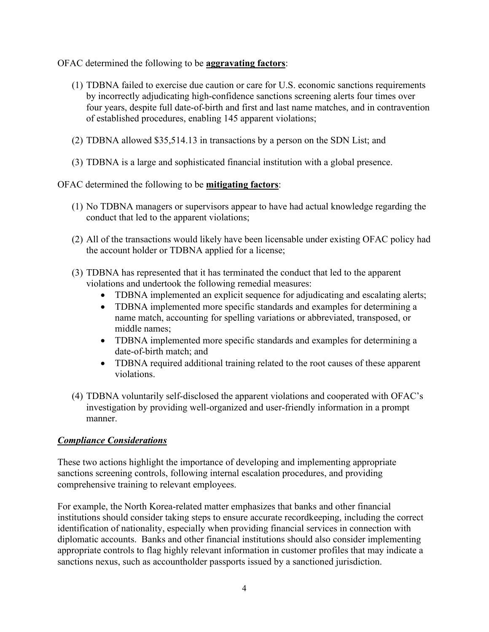OFAC determined the following to be **aggravating factors**:

- (1) TDBNA failed to exercise due caution or care for U.S. economic sanctions requirements by incorrectly adjudicating high-confidence sanctions screening alerts four times over four years, despite full date-of-birth and first and last name matches, and in contravention of established procedures, enabling 145 apparent violations;
- (2) TDBNA allowed \$35,514.13 in transactions by a person on the SDN List; and
- (3) TDBNA is a large and sophisticated financial institution with a global presence.

OFAC determined the following to be **mitigating factors**:

- (1) No TDBNA managers or supervisors appear to have had actual knowledge regarding the conduct that led to the apparent violations;
- (2) All of the transactions would likely have been licensable under existing OFAC policy had the account holder or TDBNA applied for a license;
- (3) TDBNA has represented that it has terminated the conduct that led to the apparent violations and undertook the following remedial measures:
	- TDBNA implemented an explicit sequence for adjudicating and escalating alerts;
	- TDBNA implemented more specific standards and examples for determining a name match, accounting for spelling variations or abbreviated, transposed, or middle names;
	- TDBNA implemented more specific standards and examples for determining a date-of-birth match; and
	- TDBNA required additional training related to the root causes of these apparent violations.
- (4) TDBNA voluntarily self-disclosed the apparent violations and cooperated with OFAC's investigation by providing well-organized and user-friendly information in a prompt manner.

#### *Compliance Considerations*

These two actions highlight the importance of developing and implementing appropriate sanctions screening controls, following internal escalation procedures, and providing comprehensive training to relevant employees.

For example, the North Korea-related matter emphasizes that banks and other financial institutions should consider taking steps to ensure accurate recordkeeping, including the correct identification of nationality, especially when providing financial services in connection with diplomatic accounts. Banks and other financial institutions should also consider implementing appropriate controls to flag highly relevant information in customer profiles that may indicate a sanctions nexus, such as accountholder passports issued by a sanctioned jurisdiction.